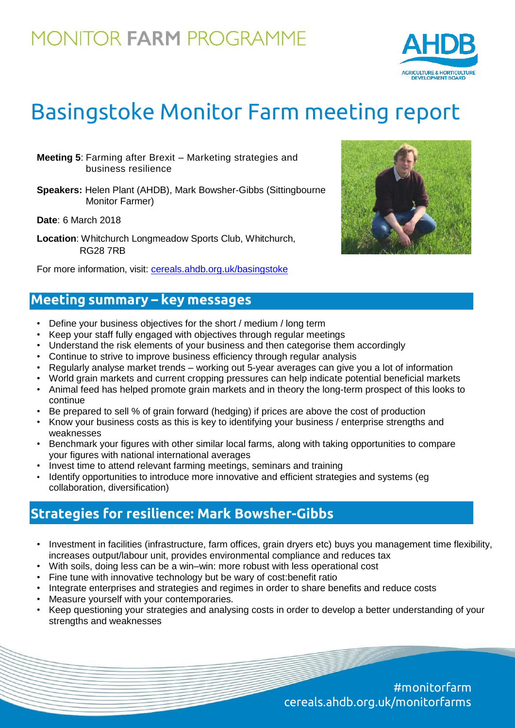# **MONITOR FARM PROGRAMME**



# Basingstoke Monitor Farm meeting report

- **Meeting 5**: Farming after Brexit Marketing strategies and business resilience
- **Speakers:** Helen Plant (AHDB), Mark Bowsher-Gibbs (Sittingbourne Monitor Farmer)

**Date**: 6 March 2018

**Location**: Whitchurch Longmeadow Sports Club, Whitchurch, RG28 7RB

For more information, visit: [cereals.ahdb.org.uk/basingstoke](https://cereals.ahdb.org.uk/basingstoke)

### **Meeting summary – key messages**

- Define your business objectives for the short / medium / long term
- Keep your staff fully engaged with objectives through regular meetings
- Understand the risk elements of your business and then categorise them accordingly
- Continue to strive to improve business efficiency through regular analysis
- Regularly analyse market trends working out 5-year averages can give you a lot of information
- World grain markets and current cropping pressures can help indicate potential beneficial markets
- Animal feed has helped promote grain markets and in theory the long-term prospect of this looks to continue
- Be prepared to sell % of grain forward (hedging) if prices are above the cost of production
- Know your business costs as this is key to identifying your business / enterprise strengths and weaknesses
- Benchmark your figures with other similar local farms, along with taking opportunities to compare your figures with national international averages
- Invest time to attend relevant farming meetings, seminars and training
- Identify opportunities to introduce more innovative and efficient strategies and systems (eg collaboration, diversification)

## **Strategies for resilience: Mark Bowsher-Gibbs**

- Investment in facilities (infrastructure, farm offices, grain dryers etc) buys you management time flexibility, increases output/labour unit, provides environmental compliance and reduces tax
- With soils, doing less can be a win–win: more robust with less operational cost
- Fine tune with innovative technology but be wary of cost:benefit ratio
- Integrate enterprises and strategies and regimes in order to share benefits and reduce costs
- Measure yourself with your contemporaries.
- Keep questioning your strategies and analysing costs in order to develop a better understanding of your strengths and weaknesses

#monitorfarm cereals.ahdb.org.uk/monitorfarms

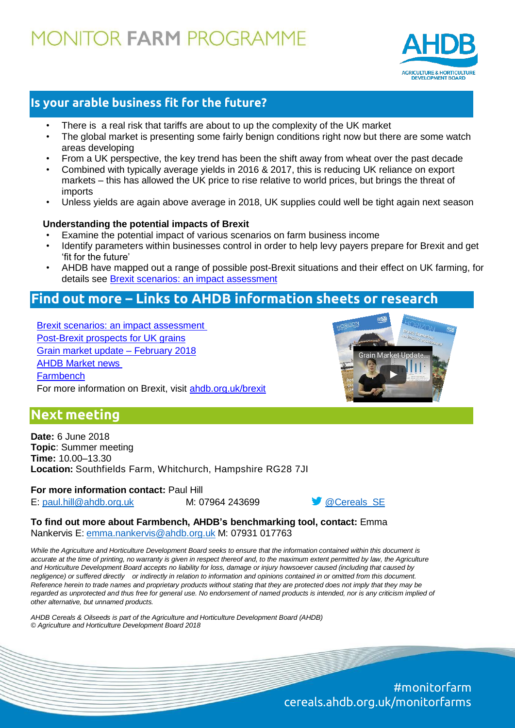# **10NITOR FARM PROGRAMME**



### **Is your arable business fit for the future?**

- There is a real risk that tariffs are about to up the complexity of the UK market
- The global market is presenting some fairly benign conditions right now but there are some watch areas developing
- From a UK perspective, the key trend has been the shift away from wheat over the past decade
- Combined with typically average yields in 2016 & 2017, this is reducing UK reliance on export markets – this has allowed the UK price to rise relative to world prices, but brings the threat of imports
- Unless yields are again above average in 2018, UK supplies could well be tight again next season

#### **Understanding the potential impacts of Brexit**

- Examine the potential impact of various scenarios on farm business income
- Identify parameters within businesses control in order to help levy payers prepare for Brexit and get 'fit for the future'
- AHDB have mapped out a range of possible post-Brexit situations and their effect on UK farming, for details see [Brexit scenarios: an impact assessment](https://ahdb.org.uk/brexit/documents/Horizon_BrexitScenarios_Web_2017-10-16.pdf)

### **Find out more – Links to AHDB information sheets or research**

[Brexit scenarios: an impact assessment](https://ahdb.org.uk/brexit/documents/Horizon_BrexitScenarios_Web_2017-10-16.pdf) [Post-Brexit prospects for UK grains](https://ahdb.org.uk/documents/Horizon_Brexit_Analysis_june2017.PDF) [Grain market update –](https://www.youtube.com/watch?v=EEI8EAxzUVY) February 2018 [AHDB Market news](https://cereals.ahdb.org.uk/markets/market-news.aspx) **[Farmbench](https://farmbench.ahdb.org.uk/)** For more information on Brexit, visit [ahdb.org.uk/brexit](https://ahdb.org.uk/brexit/)



## **Next meeting**

**Date:** 6 June 2018 **Topic**: Summer meeting **Time:** 10.00–13.30 **Location:** Southfields Farm, Whitchurch, Hampshire RG28 7JI

**For more information contact:** Paul Hill E: [paul.hill@ahdb.org.uk](mailto:paul.hill@ahdb.org.uk) M: 07964 243699 [@Cereals\\_SE](https://twitter.com/Cereals_SE)

**To find out more about Farmbench, AHDB's benchmarking tool, contact:** Emma Nankervis E: [emma.nankervis@ahdb.org.uk](mailto:emma.nankervis@ahdb.org.uk) M: 07931 017763

While the Agriculture and Horticulture Development Board seeks to ensure that the information contained within this document is accurate at the time of printing, no warranty is given in respect thereof and, to the maximum extent permitted by law, the Agriculture *and Horticulture Development Board accepts no liability for loss, damage or injury howsoever caused (including that caused by negligence) or suffered directly or indirectly in relation to information and opinions contained in or omitted from this document.* Reference herein to trade names and proprietary products without stating that they are protected does not imply that they may be regarded as unprotected and thus free for general use. No endorsement of named products is intended, nor is any criticism implied of *other alternative, but unnamed products.*

*AHDB Cereals & Oilseeds is part of the Agriculture and Horticulture Development Board (AHDB) © Agriculture and Horticulture Development Board 2018*

> #monitorfarm cereals.ahdb.org.uk/monitorfarms